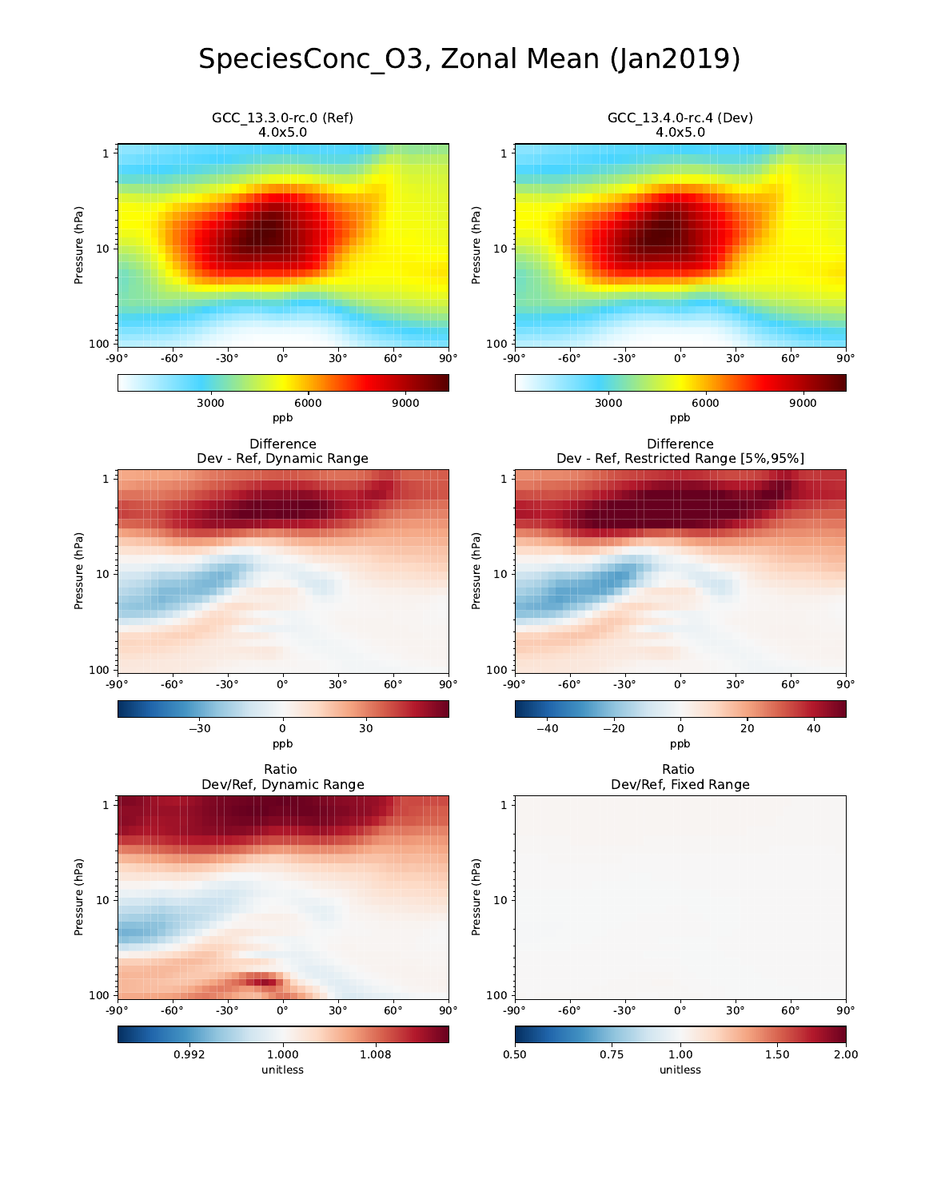## SpeciesConc\_O3, Zonal Mean (Jan2019)

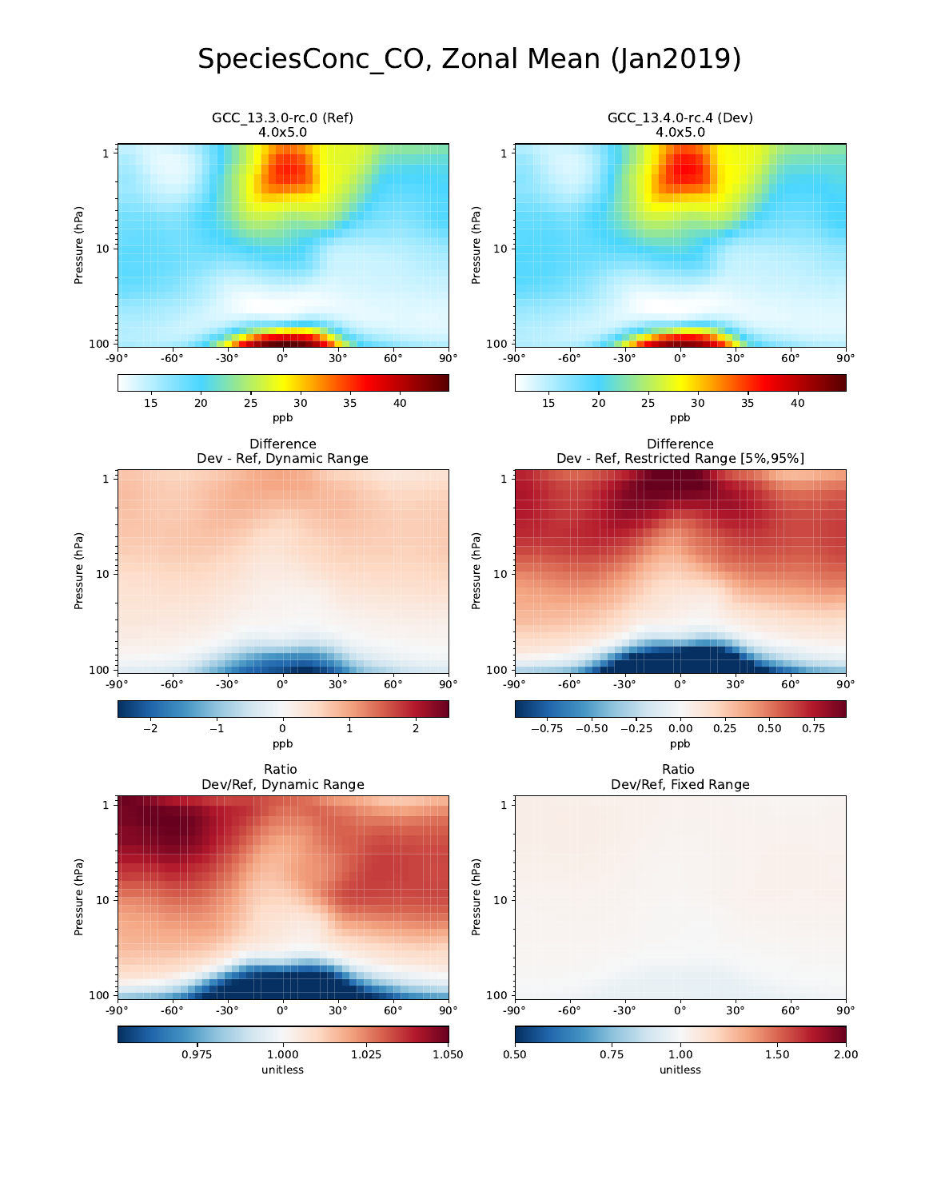## SpeciesConc\_CO, Zonal Mean (Jan2019)

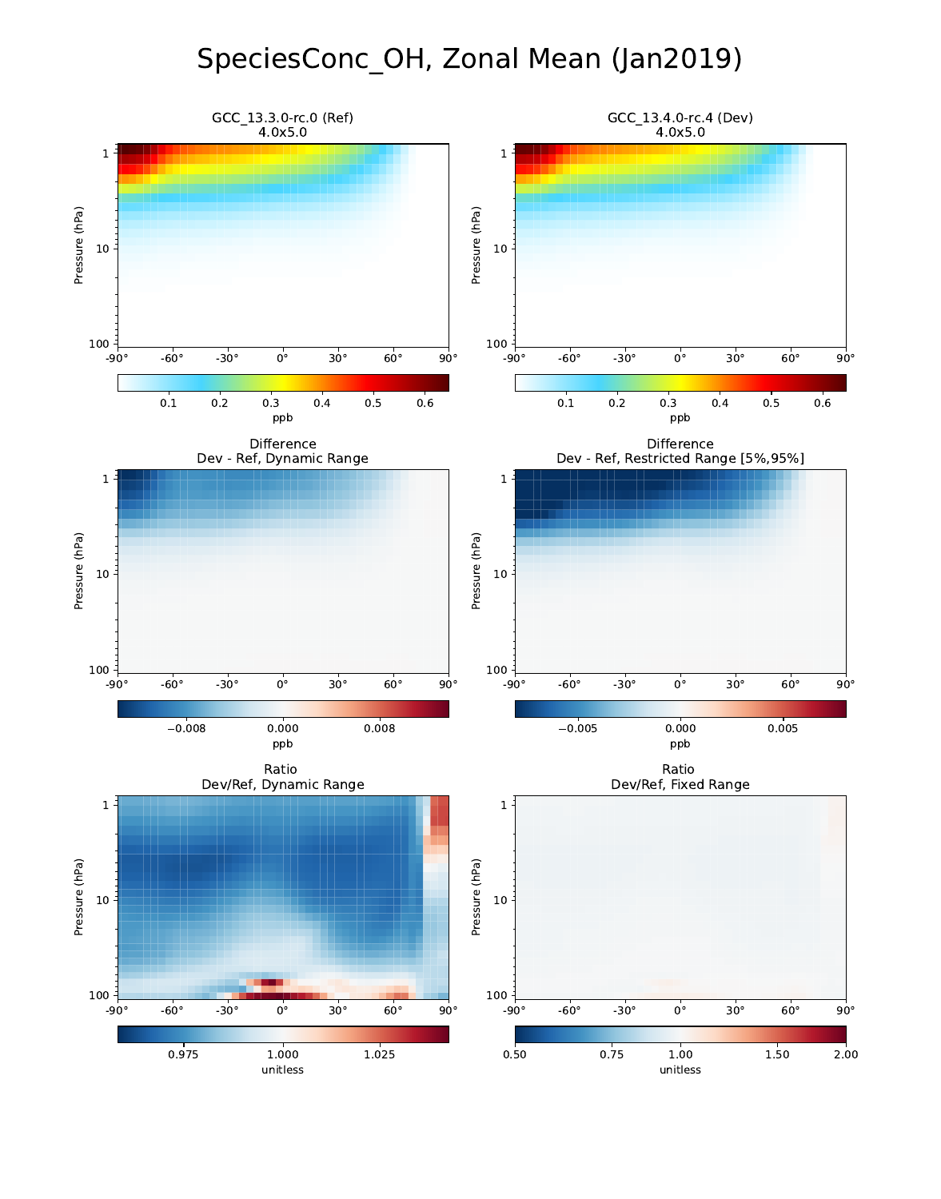## SpeciesConc\_OH, Zonal Mean (Jan2019)